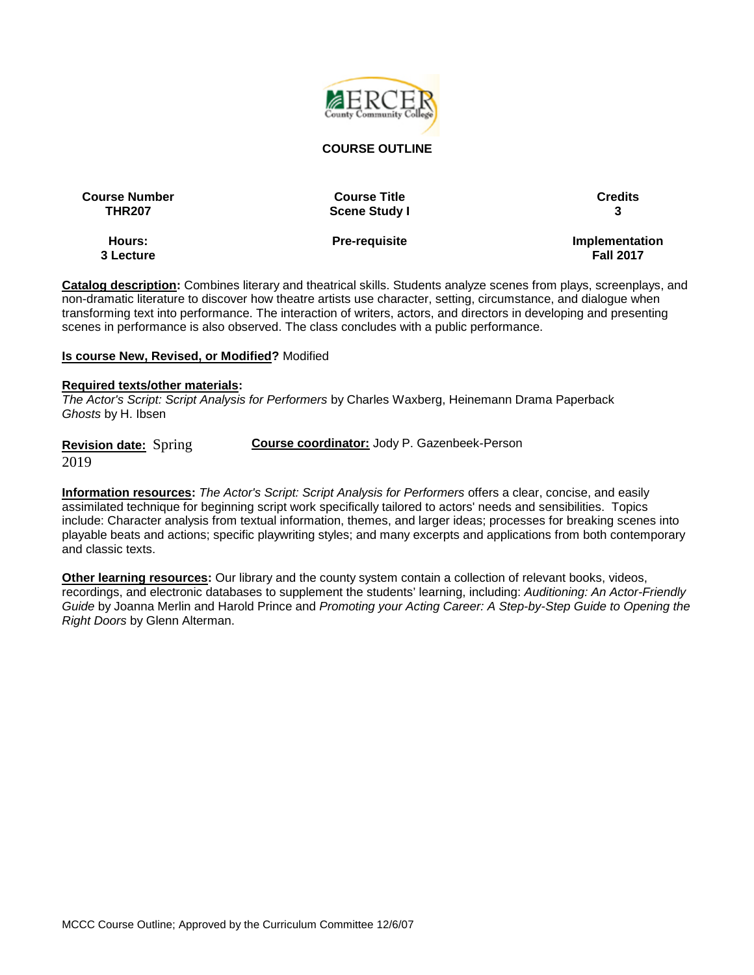

#### **COURSE OUTLINE**

**Course Number Course Title Credits**

**Hours: 3 Lecture**

**THR207 Scene Study I 3**

**Pre-requisite Implementation Fall 2017**

**Catalog description:** Combines literary and theatrical skills. Students analyze scenes from plays, screenplays, and non-dramatic literature to discover how theatre artists use character, setting, circumstance, and dialogue when transforming text into performance. The interaction of writers, actors, and directors in developing and presenting scenes in performance is also observed. The class concludes with a public performance.

#### **Is course New, Revised, or Modified?** Modified

#### **Required texts/other materials:**

*The Actor's Script: Script Analysis for Performers* by Charles Waxberg, Heinemann Drama Paperback *Ghosts* by H. Ibsen

**Revision date:** Spring 2019 **Course coordinator:** Jody P. Gazenbeek-Person

**Information resources:** *The Actor's Script: Script Analysis for Performers* offers a clear, concise, and easily assimilated technique for beginning script work specifically tailored to actors' needs and sensibilities. Topics include: Character analysis from textual information, themes, and larger ideas; processes for breaking scenes into playable beats and actions; specific playwriting styles; and many excerpts and applications from both contemporary and classic texts.

**Other learning resources:** Our library and the county system contain a collection of relevant books, videos, recordings, and electronic databases to supplement the students' learning, including: *Auditioning: An Actor-Friendly Guide* by Joanna Merlin and Harold Prince and *Promoting your Acting Career: A Step-by-Step Guide to Opening the Right Doors* by Glenn Alterman.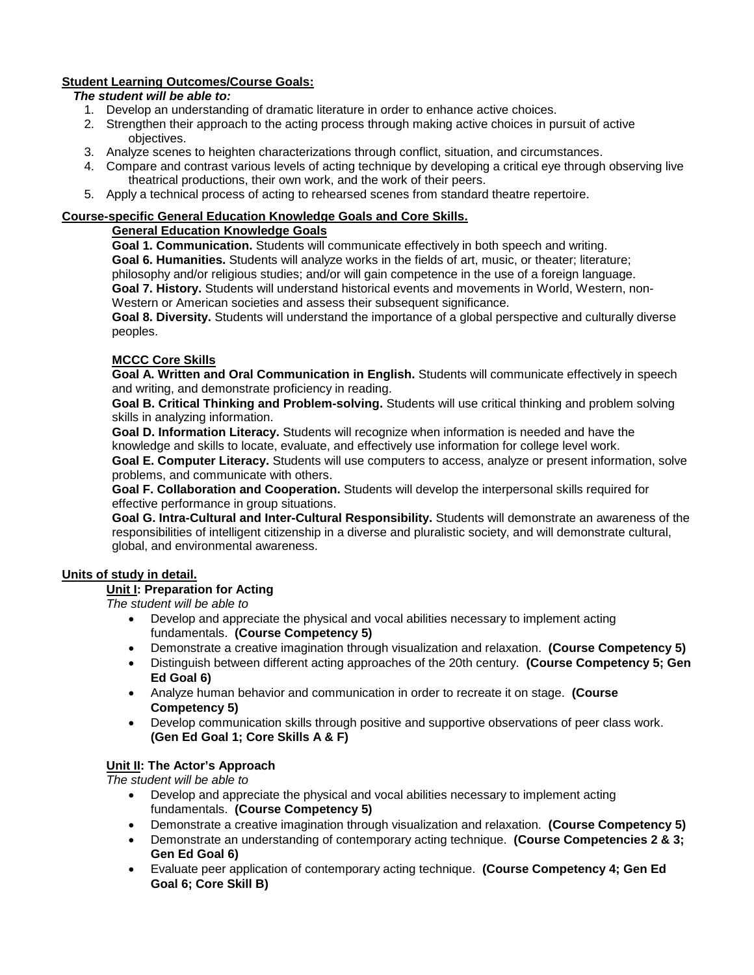## **Student Learning Outcomes/Course Goals:**

## *The student will be able to:*

- 1. Develop an understanding of dramatic literature in order to enhance active choices.
- 2. Strengthen their approach to the acting process through making active choices in pursuit of active objectives.
- 3. Analyze scenes to heighten characterizations through conflict, situation, and circumstances.
- 4. Compare and contrast various levels of acting technique by developing a critical eye through observing live theatrical productions, their own work, and the work of their peers.
- 5. Apply a technical process of acting to rehearsed scenes from standard theatre repertoire.

### **Course-specific General Education Knowledge Goals and Core Skills.**

## **General Education Knowledge Goals**

**Goal 1. Communication.** Students will communicate effectively in both speech and writing.

**Goal 6. Humanities.** Students will analyze works in the fields of art, music, or theater; literature;

philosophy and/or religious studies; and/or will gain competence in the use of a foreign language.

**Goal 7. History.** Students will understand historical events and movements in World, Western, non-Western or American societies and assess their subsequent significance.

**Goal 8. Diversity.** Students will understand the importance of a global perspective and culturally diverse peoples.

### **MCCC Core Skills**

**Goal A. Written and Oral Communication in English.** Students will communicate effectively in speech and writing, and demonstrate proficiency in reading.

**Goal B. Critical Thinking and Problem-solving.** Students will use critical thinking and problem solving skills in analyzing information.

**Goal D. Information Literacy.** Students will recognize when information is needed and have the knowledge and skills to locate, evaluate, and effectively use information for college level work.

**Goal E. Computer Literacy.** Students will use computers to access, analyze or present information, solve problems, and communicate with others.

**Goal F. Collaboration and Cooperation.** Students will develop the interpersonal skills required for effective performance in group situations.

**Goal G. Intra-Cultural and Inter-Cultural Responsibility.** Students will demonstrate an awareness of the responsibilities of intelligent citizenship in a diverse and pluralistic society, and will demonstrate cultural, global, and environmental awareness.

## **Units of study in detail.**

### **Unit I: Preparation for Acting**

*The student will be able to*

- Develop and appreciate the physical and vocal abilities necessary to implement acting fundamentals. **(Course Competency 5)**
- Demonstrate a creative imagination through visualization and relaxation. **(Course Competency 5)**
- Distinguish between different acting approaches of the 20th century. **(Course Competency 5; Gen Ed Goal 6)**
- Analyze human behavior and communication in order to recreate it on stage. **(Course Competency 5)**
- Develop communication skills through positive and supportive observations of peer class work. **(Gen Ed Goal 1; Core Skills A & F)**

### **Unit II: The Actor's Approach**

*The student will be able to*

- Develop and appreciate the physical and vocal abilities necessary to implement acting fundamentals. **(Course Competency 5)**
- Demonstrate a creative imagination through visualization and relaxation. **(Course Competency 5)**
- Demonstrate an understanding of contemporary acting technique. **(Course Competencies 2 & 3; Gen Ed Goal 6)**
- Evaluate peer application of contemporary acting technique. **(Course Competency 4; Gen Ed Goal 6; Core Skill B)**